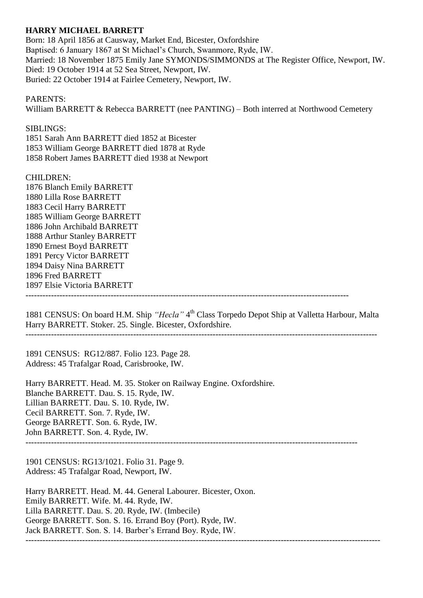## **HARRY MICHAEL BARRETT**

Born: 18 April 1856 at Causway, Market End, Bicester, Oxfordshire Baptised: 6 January 1867 at St Michael's Church, Swanmore, Ryde, IW. Married: 18 November 1875 Emily Jane SYMONDS/SIMMONDS at The Register Office, Newport, IW. Died: 19 October 1914 at 52 Sea Street, Newport, IW. Buried: 22 October 1914 at Fairlee Cemetery, Newport, IW.

## PARENTS:

William BARRETT & Rebecca BARRETT (nee PANTING) – Both interred at Northwood Cemetery

SIBLINGS:

1851 Sarah Ann BARRETT died 1852 at Bicester 1853 William George BARRETT died 1878 at Ryde 1858 Robert James BARRETT died 1938 at Newport

CHILDREN:

1876 Blanch Emily BARRETT 1880 Lilla Rose BARRETT 1883 Cecil Harry BARRETT 1885 William George BARRETT 1886 John Archibald BARRETT 1888 Arthur Stanley BARRETT 1890 Ernest Boyd BARRETT 1891 Percy Victor BARRETT 1894 Daisy Nina BARRETT 1896 Fred BARRETT 1897 Elsie Victoria BARRETT ------------------------------------------------------------------------------------------------------------------

1881 CENSUS: On board H.M. Ship "Hecla" 4<sup>th</sup> Class Torpedo Depot Ship at Valletta Harbour, Malta Harry BARRETT. Stoker. 25. Single. Bicester, Oxfordshire.

1891 CENSUS: RG12/887. Folio 123. Page 28. Address: 45 Trafalgar Road, Carisbrooke, IW.

Harry BARRETT. Head. M. 35. Stoker on Railway Engine. Oxfordshire. Blanche BARRETT. Dau. S. 15. Ryde, IW. Lillian BARRETT. Dau. S. 10. Ryde, IW. Cecil BARRETT. Son. 7. Ryde, IW. George BARRETT. Son. 6. Ryde, IW. John BARRETT. Son. 4. Ryde, IW. ---------------------------------------------------------------------------------------------------------------------

1901 CENSUS: RG13/1021. Folio 31. Page 9. Address: 45 Trafalgar Road, Newport, IW.

Harry BARRETT. Head. M. 44. General Labourer. Bicester, Oxon. Emily BARRETT. Wife. M. 44. Ryde, IW. Lilla BARRETT. Dau. S. 20. Ryde, IW. (Imbecile) George BARRETT. Son. S. 16. Errand Boy (Port). Ryde, IW. Jack BARRETT. Son. S. 14. Barber's Errand Boy. Ryde, IW. -----------------------------------------------------------------------------------------------------------------------------